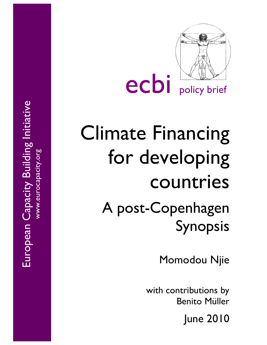

ecbi policy brief

# Climate Financing for developing countries A post -Copenhagen Synopsis

Momodou Njie

with contributions by Benito Müller

June 2010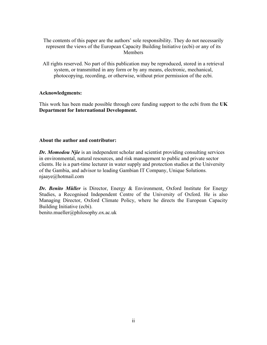The contents of this paper are the authors' sole responsibility. They do not necessarily represent the views of the European Capacity Building Initiative (ecbi) or any of its Members

All rights reserved. No part of this publication may be reproduced, stored in a retrieval system, or transmitted in any form or by any means, electronic, mechanical, photocopying, recording, or otherwise, without prior permission of the ecbi.

## **Acknowledgments:**

This work has been made possible through core funding support to the ecbi from the **UK Department for International Development.**

## **About the author and contributor:**

**Dr. Momodou Njie** is an independent scholar and scientist providing consulting services in environmental, natural resources, and risk management to public and private sector clients. He is a part-time lecturer in water supply and protection studies at the University of the Gambia, and advisor to leading Gambian IT Company, Unique Solutions. njaaye@hotmail.com

*Dr. Benito Müller* is Director, Energy & Environment, Oxford Institute for Energy Studies, a Recognised Independent Centre of the University of Oxford. He is also Managing Director, Oxford Climate Policy, where he directs the European Capacity Building Initiative (ecbi).

benito.mueller@philosophy.ox.ac.uk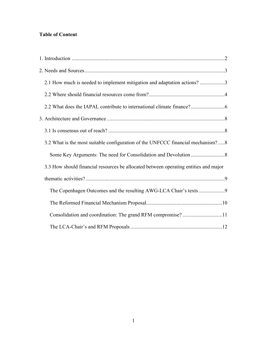# **Table of Content**

| 2.1 How much is needed to implement mitigation and adaptation actions? 3             |  |
|--------------------------------------------------------------------------------------|--|
|                                                                                      |  |
|                                                                                      |  |
|                                                                                      |  |
|                                                                                      |  |
| 3.2 What is the most suitable configuration of the UNFCCC financial mechanism?8      |  |
|                                                                                      |  |
| 3.3 How should financial resources be allocated between operating entities and major |  |
|                                                                                      |  |
|                                                                                      |  |
|                                                                                      |  |
|                                                                                      |  |
|                                                                                      |  |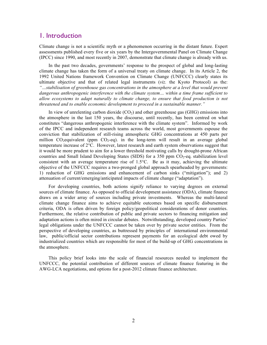# 1. Introduction

Climate change is not a scientific myth or a phenomenon occurring in the distant future. Expert assessments published every five or six years by the Intergovernmental Panel on Climate Change (IPCC) since 1990, and most recently in 2007, demonstrate that climate change is already with us.

In the past two decades, governments' response to the prospect of global and long-lasting climate change has taken the form of a universal treaty on climate change. In its Article 2, the 1992 United Nations framework Convention on Climate Change (UNFCCC) clearly states its ultimate objective and that of related legal instruments (*viz.* the Kyoto Protocol) as the: *"…stabilisation of greenhouse gas concentrations in the atmosphere at a level that would prevent dangerous anthropogenic interference with the climate system… within a time frame sufficient to allow ecosystems to adapt naturally to climate change, to ensure that food production is not threatened and to enable economic development to proceed in a sustainable manner."* 

In view of unrelenting carbon dioxide  $(CO<sub>2</sub>)$  and other greenhouse gas  $(GHG)$  emissions into the atmosphere in the last 150 years, the discourse, until recently, has been centred on what constitutes "dangerous anthropogenic interference with the climate system". Informed by work of the IPCC and independent research teams across the world, most governments espouse the conviction that stabilization of still-rising atmospheric GHG concentrations at 450 parts per million  $CO_2$ -equivalent (ppm  $CO_2$ -eq). in the long-term will result in an average global temperature increase of 2°C. However, latest research and earth system observations suggest that it would be more prudent to aim for a lower threshold motivating calls by drought-prone African countries and Small Island Developing States (SIDS) for a  $350$  ppm  $CO<sub>2</sub>$ -eq. stabilization level consistent with an average temperature rise of  $1.5^{\circ}$ C. Be as it may, achieving the ultimate objective of the UNFCCC requires a two-pronged global approach spearheaded by governments: 1) reduction of GHG emissions and enhancement of carbon sinks ("mitigation"); and 2) attenuation of current/emerging/anticipated impacts of climate change ("adaptation").

For developing countries, both actions signify reliance to varying degrees on external sources of climate finance. As opposed to official development assistance (ODA), climate finance draws on a wider array of sources including private investments. Whereas the multi-lateral climate change finance aims to achieve equitable outcomes based on specific disbursement criteria, ODA is often driven by foreign policy/geopolitical considerations of donor countries. Furthermore, the relative contribution of public and private sectors to financing mitigation and adaptation actions is often mired in circular debates. Notwithstanding, developed country Parties' legal obligations under the UNFCCC cannot be taken over by private sector entities. From the perspective of developing countries, as buttressed by principles of international environmental law, public/official sector contributions represent payments for an ecological debt owed by industrialized countries which are responsible for most of the build-up of GHG concentrations in the atmosphere.

This policy brief looks into the scale of financial resources needed to implement the UNFCCC, the potential contribution of different sources of climate finance featuring in the AWG-LCA negotiations, and options for a post-2012 climate finance architecture.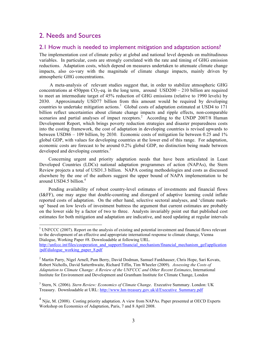# 2. Needs and Sources

## 2.1 How much is needed to implement mitigation and adaptation actions?

The implementation cost of climate policy at global and national level depends on multitudinous variables. In particular, costs are strongly correlated with the rate and timing of GHG emission reductions. Adaptation costs, which depend on measures undertaken to attenuate climate change impacts, also co-vary with the magnitude of climate change impacts, mainly driven by atmospheric GHG concentrations.

 A meta-analysis of relevant studies suggest that, in order to stabilize atmospheric GHG concentrations at 450ppm  $CO_2$ -eq. in the long term, around USD200 – 210 billion are required to meet an intermediate target of 45% reduction of GHG emissions (relative to 1990 levels) by 2030. Approximately USD77 billion from this amount would be required by developing countries to undertake mitigation actions.<sup>1</sup> Global costs of adaptation estimated at USD4 to 171 billion reflect uncertainties about climate change impacts and ripple effects, non-comparable scenarios and partial analyses of impact receptors.<sup>2</sup> According to the UNDP 2007/8 Human Development Report, which brings poverty reduction strategies and disaster preparedness costs into the costing framework, the cost of adaptation in developing countries is revised upwards to between USD86 – 109 billion, by 2030. Economic costs of mitigation lie between 0.25 and 1% global GDP, with values for developing countries at the lower end of this range. For adaptation, economic costs are forecast to be around 0.2% global GDP, no distinction being made between developed and developing countries.<sup>3</sup>

Concerning urgent and priority adaptation needs that have been articulated in Least Developed Countries (LDCs) national adaptation programmes of action (NAPAs), the Stern Review projects a total of USD1.3 billion. NAPA costing methodologies and costs as discussed elsewhere by the one of the authors suggest the upper bound of NAPA implementation to be around USD4.5 billion.<sup>4</sup>

Pending availability of robust country-level estimates of investments and financial flows (I&FF), one may argue that double-counting and disregard of adaptive learning could inflate reported costs of adaptation. On the other hand, selective sectoral analyses, and 'climate markup' based on low levels of investment buttress the argument that current estimates are probably on the lower side by a factor of two to three. Analysts invariably point out that published cost estimates for both mitigation and adaptation are indicative, and need updating at regular intervals

 $2$  Martin Parry, Nigel Arnell, Pam Berry, David Dodman, Samuel Fankhauser, Chris Hope, Sari Kovats, Robert Nicholls, David Satterthwaite, Richard Tiffin, Tim Wheeler (2009). *Assessing the Costs of Adaptation to Climate Change: A Review of the UNFCCC and Other Recent Estimates*, International Institute for Environment and Development and Grantham Institute for Climate Change, London

<sup>3</sup> Stern, N. (2006). *Stern Review: Economics of Climate Change*. Executive Summary. London: UK Treasury. Downloadable at URL: http://www.hm-treasury.gov.uk/d/Executive\_Summary.pdf

 $4$  Njie, M. (2008). Costing priority adaptation. A view from NAPAs. Paper presented at OECD Experts Workshop on Economics of Adaptation, Paris, 7 and 8 April 2008.

 $\frac{1}{1}$ <sup>1</sup> UNFCCC (2007). Report on the analysis of existing and potential investment and financial flows relevant to the development of an effective and appropriate international response to climate change, Vienna Dialogue, Working Paper #8. Downloadable at following URL.

http://unfccc.int/files/cooperation\_and\_support/financial\_mechanism/financial\_mechanism\_gef/application /pdf/dialogue\_working\_paper\_8.pdf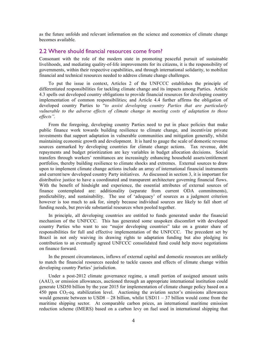as the future unfolds and relevant information on the science and economics of climate change becomes available.

### 2.2 Where should financial resources come from?

Consonant with the role of the modern state in promoting peaceful pursuit of sustainable livelihoods, and mediating quality-of-life improvements for its citizens, it is the responsibility of governments, within their respective capabilities, and through international solidarity, to mobilize financial and technical resources needed to address climate change challenges.

To put the issue in context, Articles 2 of the UNFCCC establishes the principle of differentiated responsibilities for tackling climate change and its impacts among Parties. Article 4.3 spells out developed country obligations to provide financial resources for developing country implementation of common responsibilities; and Article 4.4 further affirms the obligation of developed country Parties to "*to assist developing country Parties that are particularly vulnerable to the adverse effects of climate change in meeting costs of adaptation to those effects".*

From the foregoing, developing country Parties need to put in place policies that make public finance work towards building resilience to climate change, and incentivize private investments that support adaptation in vulnerable communities and mitigation generally, whilst maintaining economic growth and development. It is hard to gauge the scale of domestic revenue sources earmarked by developing countries for climate change actions. Tax revenue, debt repayments and budget prioritization are key variables in budget allocation decisions. Social transfers through workers' remittances are increasingly enhancing household assets/entitlement portfolios, thereby building resilience to climate shocks and extremes. External sources to draw upon to implement climate change actions include an array of international financial instruments and current/new developed country Party initiatives. As discussed in section 3, it is important for distributive justice to have a coordinated and transparent architecture governing financial flows. With the benefit of hindsight and experience, the essential attributes of external sources of finance contemplated are: additionality (separate from current ODA commitments), predictability, and sustainability. The use of 'adequacy' of sources as a judgment criterion however is too much to ask for, simply because individual sources are likely to fall short of funding needs, but provide substantial resources when pooled together.

In principle, all developing countries are entitled to funds generated under the financial mechanism of the UNFCCC. This has generated some unspoken discomfort with developed country Parties who want to see "major developing countries" take on a greater share of responsibilities for full and effective implementation of the UNFCCC. The precedent set by Brazil in not only waiving its drawing rights to adaptation funding but also pledging its contribution to an eventually agreed UNFCCC consolidated fund could help move negotiations on finance forward.

In the present circumstances, inflows of external capital and domestic resources are unlikely to match the financial resources needed to tackle causes and effects of climate change within developing country Parties' jurisdiction.

Under a post-2012 climate governance regime, a small portion of assigned amount units (AAU), or emission allowances, auctioned through an appropriate international institution could generate USD50 billion by the year 2015 for implementation of climate change policy based on a 450 ppm  $CO_2$ -eq. stabilization level. Auctioning the aviation sector's emissions allowances would generate between to USD8 – 28 billion, whilst USD11 – 37 billion would come from the maritime shipping sector. At comparable carbon prices, an international maritime emission reduction scheme (IMERS) based on a carbon levy on fuel used in international shipping that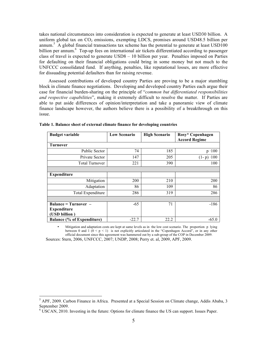takes national circumstances into consideration is expected to generate at least USD30 billion. A uniform global tax on  $CO<sub>2</sub>$  emissions, exempting LDCS, promises around USD48.5 billion per annum.<sup>5</sup> A global financial transactions tax scheme has the potential to generate at least USD100 billion per annum.<sup>6</sup> Top-up fees on international air tickets differentiated according to passenger class of travel is expected to generate USD8 – 10 billion per year. Penalties imposed on Parties for defaulting on their financial obligations could bring in some money but not much to the UNFCCC consolidated fund. If anything, penalties, like reputational losses, are more effective for dissuading potential defaulters than for raising revenue.

Assessed contributions of developed country Parties are proving to be a major stumbling block in climate finance negotiations. Developing and developed country Parties each argue their case for financial burden-sharing on the principle of "*common but differentiated responsibilities and respective capabilities*", making it extremely difficult to resolve the matter. If Parties are able to put aside differences of opinion/interpretation and take a panoramic view of climate finance landscape however, the authors believe there is a possibility of a breakthrough on this issue.

| <b>Budget variable</b>            | <b>Low Scenario</b> | <b>High Scenario</b> | Rosy* Copenhagen<br><b>Accord Regime</b> |
|-----------------------------------|---------------------|----------------------|------------------------------------------|
| <b>Turnover</b>                   |                     |                      |                                          |
| <b>Public Sector</b>              | 74                  | 185                  | $p \cdot 100$                            |
| Private Sector                    | 147                 | 205                  | $(1-p) \cdot 100$                        |
| <b>Total Turnover</b>             | 221                 | 390                  | 100                                      |
|                                   |                     |                      |                                          |
| <b>Expenditure</b>                |                     |                      |                                          |
| Mitigation                        | 200                 | 210                  | 200                                      |
| Adaptation                        | 86                  | 109                  | 86                                       |
| Total Expenditure                 | 286                 | 319                  | 286                                      |
|                                   |                     |                      |                                          |
| <b>Balance = Turnover –</b>       | $-65$               | 71                   | $-186$                                   |
| <b>Expenditure</b>                |                     |                      |                                          |
| (USD billion)                     |                     |                      |                                          |
| <b>Balance (% of Expenditure)</b> | $-22.7$             | 22.2                 | $-65.0$                                  |

**Table 1. Balance sheet of external climate finance for developing countries**

 Sources: Stern, 2006, UNFCCC, 2007; UNDP, 2008; Perry et. al, 2009, APF, 2009. • Mitigation and adaptation costs are kept at same levels as in the low cost scenario. The proportion p lying between 0 and 1  $(0 \le p \le 1)$  is not explicitly articulated in the "Copenhagen Accord", or in any other official document since this agreement was hammered out by a sub-group of the COP in December 2009.

 <sup>5</sup> <sup>5</sup> APF, 2009. Carbon Finance in Africa. Presented at a Special Session on Climate change, Addis Ababa, 3 September 2009.

 $6 \text{ USCAN}, 2010$ . Investing in the future: Options for climate finance the US can support. Issues Paper.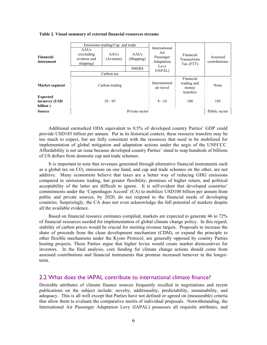#### **Table 2. Visual summary of external financial resources streams**

|                                              | Emissions trading/Cap and trade                  |                    |                    | International                  |                                                |                           |
|----------------------------------------------|--------------------------------------------------|--------------------|--------------------|--------------------------------|------------------------------------------------|---------------------------|
| Financial<br>instrument                      | AAUs<br>(excluding)<br>aviation and<br>shipping) | AAUs<br>(Aviation) | AAUs<br>(Shipping) | Air<br>Passenger<br>Adaptation | Financial<br>Transactions<br>Tax (FTT)         | Assessed<br>contributions |
|                                              |                                                  |                    | <b>IMERS</b>       | Levy<br>(IAPAL)                |                                                |                           |
|                                              | Carbon tax                                       |                    |                    |                                |                                                |                           |
| Market segment                               | Carbon trading                                   |                    |                    | International<br>air travel    | Financial<br>trading and<br>money<br>transfers | None                      |
| <b>Expected</b><br>turnover (USD<br>billion) | $39 - 95$                                        |                    |                    | $8 - 10$                       | 100                                            | 185                       |
| Private sector<br><b>Source</b>              |                                                  |                    |                    | Public sector                  |                                                |                           |

Additional earmarked ODA equivalent to 0.5% of developed country Parties' GDP could provide USD185 billion per annum. Put in its historical context, these resource transfers may be too much to expect, but are fully consistent with the resources that need to be mobilized for implementation of global mitigation and adaptation actions under the aegis of the UNFCCC. Affordability is not an issue because developed country Parties' stand to reap hundreds of billions of US dollars from domestic cap and trade schemes.

It is important to note that revenues generated through alternative financial instruments such as a global tax on  $CO<sub>2</sub>$  emissions on one hand, and cap and trade schemes on the other, are not additive. Many economists believe that taxes are a better way of reducing GHG emissions compared to emissions trading, but greater flexibility, promises of higher return, and political acceptability of the latter are difficult to ignore. It is self-evident that developed countries' commitments under the 'Copenhagen Accord' (CA) to mobilize USD100 billion per annum from public and private sources, by 2020, do not respond to the financial needs of developing countries. Surprisingly, the CA does not even acknowledge the full potential of markets despite all the available evidence.

Based on financial resource estimates compiled, markets are expected to generate 46 to 72% of financial resources needed for implementation of global climate change policy. In this regard, stability of carbon prices would be crucial for meeting revenue targets. Proposals to increase the share of proceeds from the clean development mechanism (CDM), or expand the principle to other flexible mechanisms under the Kyoto Protocol, are generally opposed by country Parties hosting projects. These Parties argue that higher levies would create market disincentives for investors. In the final analysis, core funding for climate change actions should come from assessed contributions and financial instruments that promise increased turnover in the longerterm.

## 2.2 What does the IAPAL contribute to international climate finance?

Desirable attributes of climate finance sources frequently recalled in negotiations and recent publications on the subject include: novelty, additionality, predictability, sustainability, and adequacy. This is all well except that Parties have not defined or agreed on (measurable) criteria that allow them to evaluate the comparative merits of individual proposals. Notwithstanding, the International Air Passenger Adaptation Levy (IAPAL) possesses all requisite attributes, and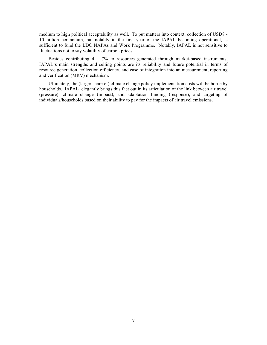medium to high political acceptability as well. To put matters into context, collection of USD8 - 10 billion per annum, but notably in the first year of the IAPAL becoming operational, is sufficient to fund the LDC NAPAs and Work Programme. Notably, IAPAL is not sensitive to fluctuations not to say volatility of carbon prices.

Besides contributing 4 – 7% to resources generated through market-based instruments, IAPAL's main strengths and selling points are its reliability and future potential in terms of resource generation, collection efficiency, and ease of integration into an measurement, reporting and verification (MRV) mechanism.

Ultimately, the (larger share of) climate change policy implementation costs will be borne by households. IAPAL elegantly brings this fact out in its articulation of the link between air travel (pressure), climate change (impact), and adaptation funding (response), and targeting of individuals/households based on their ability to pay for the impacts of air travel emissions.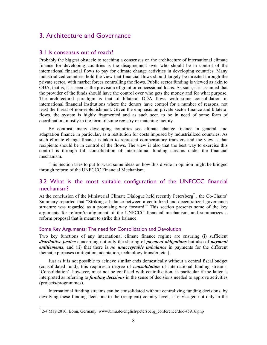# 3. Architecture and Governance

## 3.1 Is consensus out of reach?

Probably the biggest obstacle to reaching a consensus on the architecture of international climate finance for developing countries is the disagreement over who should be in control of the international financial flows to pay for climate change activities in developing countries. Many industrialized countries hold the view that financial flows should largely be directed through the private sector, with market forces controlling the flows. Public sector funding is viewed as akin to ODA, that is, it is seen as the provision of grant or concessional loans. As such, it is assumed that the provider of the funds should have the control over who gets the money and for what purpose. The architectural paradigm is that of bilateral ODA flows with some consolidation in international financial institutions where the donors have control for a number of reasons, not least the threat of non-replenishment. Given the emphasis on private sector finance and bilateral flows, the system is highly fragmented and as such seen to be in need of some form of coordination, mostly in the form of some registry or matching facility.

By contrast, many developing countries see climate change finance in general, and adaptation finance in particular, as a restitution for costs imposed by industrialized countries. As such climate change finance is taken to represent compensatory transfers and the view is that recipients should be in control of the flows. The view is also that the best way to exercise this control is through full consolidation of international funding streams under the financial mechanism.

This Section tries to put forward some ideas on how this divide in opinion might be bridged through reform of the UNFCCC Financial Mechanism.

## 3.2 What is the most suitable configuration of the UNFCCC financial mechanism?

At the conclusion of the Ministerial Climate Dialogue held recently Petersberg<sup>7</sup>, the Co-Chairs' Summary reported that "Striking a balance between a centralized and decentralized governance structure was regarded as a promising way forward." This section presents some of the key arguments for reform/re-alignment of the UNFCCC financial mechanism, and summarizes a reform proposal that is meant to strike this balance.

#### Some Key Arguments: The need for Consolidation and Devolution

Two key functions of any international climate finance regime are ensuring (i) sufficient *distributive justice* concerning not only the sharing of *payment obligations* but also of *payment entitlements*, and (ii) that there is *no unacceptable imbalance* in payments for the different thematic purposes (mitigation, adaptation, technology transfer, etc.).

Just as it is not possible to achieve similar ends domestically without a central fiscal budget (consolidated fund), this requires a degree of *consolidation* of international funding streams. 'Consolidation', however, must not be confused with centralization, in particular if the latter is interpreted as referring to *funding decisions* in the sense of decisions needed to approve activities (projects/programmes).

International funding streams can be consolidated without centralizing funding decisions, by devolving these funding decisions to the (recipient) country level, as envisaged not only in the

 <sup>7</sup> 2-4 May 2010, Bonn, Germany. www.bmu.de/english/petersberg\_conference/doc/45916.php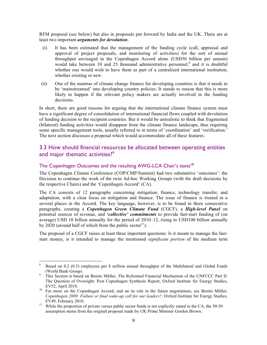RFM proposal (see below) but also in proposals put forward by India and the UK. There are at least two important *arguments for devolution*.

- (i) It has been estimated that the management of the funding cycle (call, appraisal and approval of project proposals, and monitoring of activities) for the sort of annual throughput envisaged in the Copenhagen Accord alone (USD50 billion per annum) would take between 10 and 25 thousand administrative personnel, $8$  and it is doubtful whether one would wish to have them as part of a centralized international institution, whether existing or new.
- (ii) One of the mantras of climate change finance for developing countries is that it needs to be 'mainstreamed' into developing country policies. It stands to reason that this is more likely to happen if the relevant policy makers are actually involved in the funding decisions.

In short, there are good reasons for arguing that the international climate finance system must have a significant degree of consolidation of international financial flows coupled with devolution of funding decision to the recipient countries. But it would be unrealistic to think that fragmented (bilateral) funding activities would disappear from the climate finance landscape, thus requiring some specific management tools, usually referred to in terms of 'coordination' and 'verification.' The next section discusses a proposal which would accommodate all of these features.

## 3.3 How should financial resources be allocated between operating entities and major thematic activities?<sup>9</sup>

## The Copenhagen Outcomes and the resulting AWG-LCA Chair's texts**<sup>10</sup>**

The Copenhagen Climate Conference (COP/CMP/Summit) had two substantive 'outcomes': the Decision to continue the work of the twin Ad-hoc Working Groups (with the draft decisions by the respective Chairs) and the 'Copenhagen Accord' (CA).

The CA consists of 12 paragraphs concerning mitigation, finance, technology transfer, and adaptation, with a clear focus on mitigation and finance. The issue of finance is treated in a several places in the Accord. The key language, however, is to be found in three consecutive paragraphs, creating a *Copenhagen Green Climate Fund* (CGCF), a *High-level Panel* on potential sources of revenue, and *'collective' commitments* to provide fast-start funding of (on average) USD 10 billion annually for the period of 2010–12, rising to USD100 billion annually by 2020 (around half of which from the public sector<sup>11</sup>).

The proposal of a CGCF raises at least three important questions: Is it meant to manage the faststart money, is it intended to manage the mentioned *significant portion* of the medium term

Based on 0.2 (0.5) employees per \$ million annual throughput of the Multilateral and Global Funds (World Bank Group).<br>This Section is based on Benito Müller, The Reformed Financial Mechanism of the UNFCCC Part II.

The Question of Oversight: Post Copenhagen Synthesis Report, Oxford Institute for Energy Studies, EV52, April 2010. <sup>10</sup> For more on the Copenhagen Accord, and on its role in the future negotiations, see Benito Müller,

*Copenhagen 2009: Failure or final wake-up call for our leaders?,* Oxford Institute for Energy Studies,

EV49, February 2010.<br><sup>11</sup> While the proportion of private versus public sector funds is not explicitly stated in the CA, the 50-50 assumption stems from the original proposal made by UK Prime Minister Gordon Brown.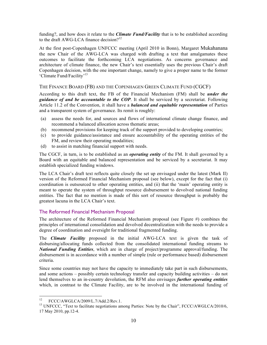funding?, and how does it relate to the *Climate Fund/Facility* that is to be established according to the draft AWG-LCA finance decision?<sup>12</sup>

At the first post-Copenhagen UNFCCC meeting (April 2010 in Bonn), Margaret Mukahanana the new Chair of the AWG-LCA was charged with drafting a text that amalgamates these outcomes to facilitate the forthcoming LCA negotiations. As concerns governance and architecture of climate finance, the new Chair's text essentially uses the previous Chair's draft Copenhagen decision, with the one important change, namely to give a proper name to the former 'Climate Fund/Facility'<sup>13</sup>

### THE FINANCE BOARD (FB) AND THE COPENHAGEN GREEN CLIMATE FUND (CGCF)

According to this draft text, the FB of the Financial Mechanism (FM) shall be *under the guidance of and be accountable to the COP*. It shall be serviced by a secretariat. Following Article 11.2 of the Convention, it shall have a *balanced and equitable representation* of Parties and a transparent system of governance. Its remit is roughly:

- (a) assess the needs for, and sources and flows of international climate change finance, and recommend a balanced allocation across thematic areas;
- (b) recommend provisions for keeping track of the support provided to developing countries;
- (c) to provide guidance/assistance and ensure accountability of the operating entities of the FM, and review their operating modalities;
- (d) to assist in matching financial support with needs.

The CGCF, in turn, is to be established as an *operating entity* of the FM. It shall governed by a Board with an equitable and balanced representation and be serviced by a secretariat. It may establish specialized funding windows.

The LCA Chair's draft text reflects quite closely the set up envisaged under the latest (Mark II) version of the Reformed Financial Mechanism proposal (see below), except for the fact that (i) coordination is outsourced to other operating entities, and (ii) that the 'main' operating entity is meant to operate the system of throughput resource disbursement to devolved national funding entities. The fact that no mention is made of this sort of resource throughput is probably the greatest lacuna in the LCA Chair's text.

## The Reformed Financial Mechanism Proposal

The architecture of the Reformed Financial Mechanism proposal (see Figure #) combines the principles of international consolidation and devolved decentralization with the needs to provide a degree of coordination and oversight for traditional fragmented funding.

The *Climate Facility* proposed in the initial AWG-LCA text is given the task of disbursing/allocating funds collected from the consolidated international funding streams to *National Funding Entities*, which are in charge of project/programme approval/funding. The disbursement is in accordance with a number of simple (rule or performance based) disbursement criteria.

Since some countries may not have the capacity to immediately take part in such disbursements, and some actions – possibly certain technology transfer and capacity building activities – do not lend themselves to an in-country devolution, the RFM also envisages *further operating entities* which, in contrast to the Climate Facility, are to be involved in the international funding of

<sup>&</sup>lt;sup>12</sup> FCCC/AWGLCA/2009/L.7/Add.2/Rev.1.<br><sup>13</sup> UNFCCC, "Text to facilitate negotiations among Parties: Note by the Chair", FCCC/AWGLCA/2010/6, 17 May 2010, pp.12-4.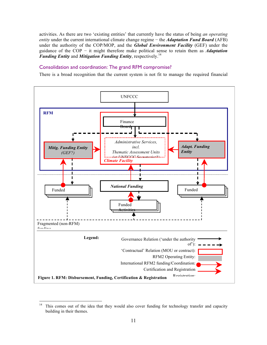activities. As there are two 'existing entities' that currently have the status of being *an operating entity* under the current international climate change regime – the *Adaptation Fund Board* (AFB) under the authority of the COP/MOP, and the *Global Environment Facility* (GEF) under the guidance of the COP − it might therefore make political sense to retain them as *Adaptation Funding Entity* and *Mitigation Funding Entity*, respectively.14

## Consolidation and coordination: The grand RFM compromise?

There is a broad recognition that the current system is not fit to manage the required financial



<sup>&</sup>lt;sup>14</sup> This comes out of the idea that they would also cover funding for technology transfer and capacity building in their themes.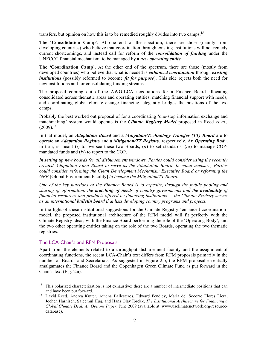transfers, but opinion on how this is to be remedied roughly divides into two camps:<sup>15</sup>

**The 'Consolidation Camp'.** At one end of the spectrum, there are those (mainly from developing countries) who believe that coordination through existing institutions will not remedy current shortcomings, and instead call for reform of the *consolidation of funding* under the UNFCCC financial mechanism, to be managed by a *new operating entity*.

**The 'Coordination Camp'.** At the other end of the spectrum, there are those (mostly from developed countries) who believe that what is needed is *enhanced coordination* through *existing institutions* (possibly reformed to become *fit for purpose*). This side rejects both the need for new institutions and for consolidating funding streams.

The proposal coming out of the AWG-LCA negotiations for a Finance Board allocating consolidated across thematic areas and operating entities, matching financial support with needs, and coordinating global climate change financing, elegantly bridges the positions of the two camps.

Probably the best worked out proposal of for a coordinating 'one-stop information exchange and matchmaking' system would operate is the *Climate Registry Model* proposed in Reed *et al.,*   $(2009).^{16}$ 

In that model, an *Adaptation Board* and a *Mitigation/Technology Transfer (TT) Board* are to operate an *Adaptation Registry* and a *Mitigation/TT Registry*, respectively. An *Operating Body*, in turn, is meant (*i*) to oversee these two Boards, (*ii*) to set standards, (*iii*) to manage COPmandated funds and (*iv*) to report to the COP.

*In setting up new boards for all disbursement windows, Parties could consider using the recently created Adaptation Fund Board to serve as the Adaptation Board. In equal measure, Parties could consider reforming the Clean Development Mechanism Executive Board or reforming the GEF* [Global Environment Facility] *to become the Mitigation/TT Board.*

*One of the key functions of the Finance Board is to expedite, through the public pooling and sharing of information, the matching of needs of country governments and the availability of financial resources and products offered by financing institutions. …the Climate Registry serves as an international bulletin board that lists developing country programs and projects.*

In the light of these institutional suggestions for the Climate Registry 'enhanced coordination' model, the proposed institutional architecture of the RFM model will fit perfectly with the Climate Registry ideas, with the Finance Board performing the role of the 'Operating Body', and the two other operating entities taking on the role of the two Boards, operating the two thematic registries.

#### The LCA-Chair's and RFM Proposals

Apart from the elements related to a throughput disbursement facility and the assignment of coordinating functions, the recent LCA-Chair's text differs from RFM proposals primarily in the number of Boards and Secretariats. As suggested in Figure 2.b, the RFM proposal essentially amalgamates the Finance Board and the Copenhagen Green Climate Fund as put forward in the Chair's text (Fig. 2.a).

<sup>&</sup>lt;sup>15</sup> This polarized characterization is not exhaustive: there are a number of intermediate positions that can

and have been put forward. <sup>16</sup> David Reed, Andrea Kutter, Athena Ballesteros, Edward Fendley, Maria del Socorro Flores Liera, Jochen Harnisch, Saleemul Huq, and Hans Olav Ibrekk, *The Institutional Architecture for Financing a Global Climate Deal: An Options Paper,* June 2009 (available at: www.usclimatenetwork.org/resourcedatabase).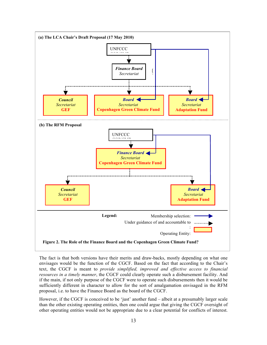

The fact is that both versions have their merits and draw-backs, mostly depending on what one envisages would be the function of the CGCF. Based on the fact that according to the Chair's text, the CGCF is meant to *provide simplified, improved and effective access to financial resources in a timely manner*, the CGCF could clearly operate such a disbursement facility. And if the main, if not only purpose of the CGCF were to operate such disbursements then it would be sufficiently different in character to allow for the sort of amalgamation envisaged in the RFM proposal, i.e. to have the Finance Board as the board of the CGCF.

However, if the CGCF is conceived to be 'just' another fund – albeit at a presumably larger scale than the other existing operating entities, then one could argue that giving the CGCF oversight of other operating entities would not be appropriate due to a clear potential for conflicts of interest.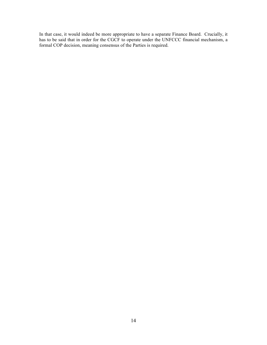In that case, it would indeed be more appropriate to have a separate Finance Board. Crucially, it has to be said that in order for the CGCF to operate under the UNFCCC financial mechanism, a formal COP decision, meaning consensus of the Parties is required.